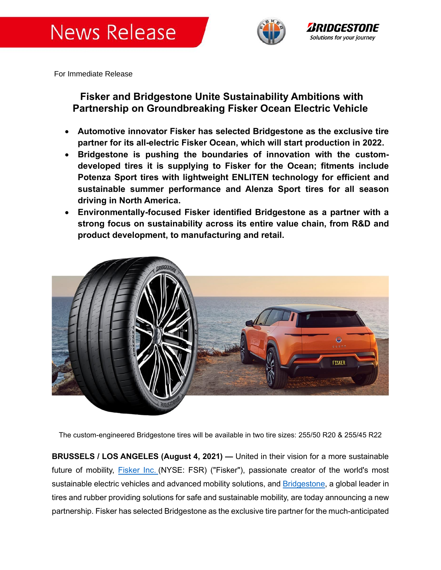

For Immediate Release

# **Fisker and Bridgestone Unite Sustainability Ambitions with Partnership on Groundbreaking Fisker Ocean Electric Vehicle**

- **Automotive innovator Fisker has selected Bridgestone as the exclusive tire partner for its all-electric Fisker Ocean, which will start production in 2022.**
- **Bridgestone is pushing the boundaries of innovation with the customdeveloped tires it is supplying to Fisker for the Ocean; fitments include Potenza Sport tires with lightweight ENLITEN technology for efficient and sustainable summer performance and Alenza Sport tires for all season driving in North America.**
- **Environmentally-focused Fisker identified Bridgestone as a partner with a strong focus on sustainability across its entire value chain, from R&D and product development, to manufacturing and retail.**



The custom-engineered Bridgestone tires will be available in two tire sizes: 255/50 R20 & 255/45 R22

**BRUSSELS / LOS ANGELES (August 4, 2021) —** United in their vision for a more sustainable future of mobility, **Fisker Inc.** (NYSE: FSR) ("Fisker"), passionate creator of the world's most sustainable electric vehicles and advanced mobility solutions, and [Bridgestone,](http://www.bridgestone.com/) a global leader in tires and rubber providing solutions for safe and sustainable mobility, are today announcing a new partnership. Fisker has selected Bridgestone as the exclusive tire partner for the much-anticipated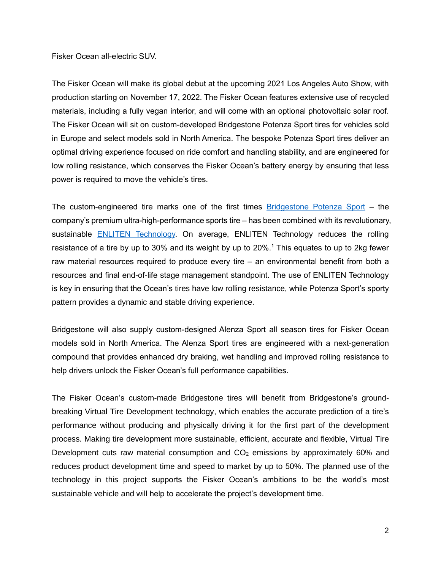### Fisker Ocean all-electric SUV.

The Fisker Ocean will make its global debut at the upcoming 2021 Los Angeles Auto Show, with production starting on November 17, 2022. The Fisker Ocean features extensive use of recycled materials, including a fully vegan interior, and will come with an optional photovoltaic solar roof. The Fisker Ocean will sit on custom-developed Bridgestone Potenza Sport tires for vehicles sold in Europe and select models sold in North America. The bespoke Potenza Sport tires deliver an optimal driving experience focused on ride comfort and handling stability, and are engineered for low rolling resistance, which conserves the Fisker Ocean's battery energy by ensuring that less power is required to move the vehicle's tires.

The custom-engineered tire marks one of the first times [Bridgestone Potenza Sport](https://www.bridgestonenewsroom.eu/brandportal/bridgestonepr/default/news-detail/1280?lang=eu) – the company's premium ultra-high-performance sports tire – has been combined with its revolutionary, sustainable [ENLITEN Technology.](https://www.bridgestonenewsroom.eu/brandportal/bridgestonepr/default/news-detail/1158?lang=eu) On average, ENLITEN Technology reduces the rolling resistance of a tire by up to 30% and its weight by up to 20%. <sup>1</sup> This equates to up to 2kg fewer raw material resources required to produce every tire – an environmental benefit from both a resources and final end-of-life stage management standpoint. The use of ENLITEN Technology is key in ensuring that the Ocean's tires have low rolling resistance, while Potenza Sport's sporty pattern provides a dynamic and stable driving experience.

Bridgestone will also supply custom-designed Alenza Sport all season tires for Fisker Ocean models sold in North America. The Alenza Sport tires are engineered with a next-generation compound that provides enhanced dry braking, wet handling and improved rolling resistance to help drivers unlock the Fisker Ocean's full performance capabilities.

The Fisker Ocean's custom-made Bridgestone tires will benefit from Bridgestone's groundbreaking Virtual Tire Development technology, which enables the accurate prediction of a tire's performance without producing and physically driving it for the first part of the development process. Making tire development more sustainable, efficient, accurate and flexible, Virtual Tire Development cuts raw material consumption and  $CO<sub>2</sub>$  emissions by approximately 60% and reduces product development time and speed to market by up to 50%. The planned use of the technology in this project supports the Fisker Ocean's ambitions to be the world's most sustainable vehicle and will help to accelerate the project's development time.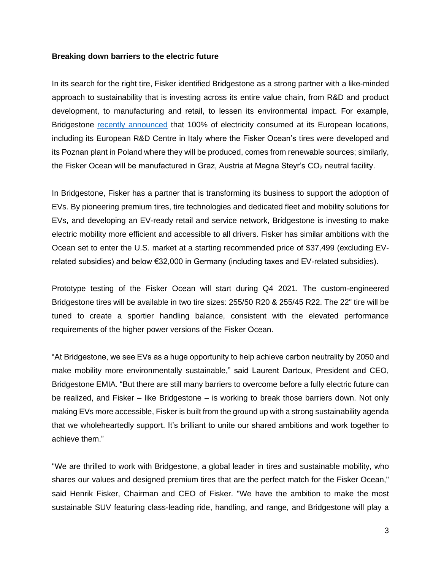## **Breaking down barriers to the electric future**

In its search for the right tire, Fisker identified Bridgestone as a strong partner with a like-minded approach to sustainability that is investing across its entire value chain, from R&D and product development, to manufacturing and retail, to lessen its environmental impact. For example, Bridgestone [recently announced](https://www.bridgestonenewsroom.eu/brandportal/bridgestonepr/default/news-detail/1312?lang=eu) that 100% of electricity consumed at its European locations, including its European R&D Centre in Italy where the Fisker Ocean's tires were developed and its Poznan plant in Poland where they will be produced, comes from renewable sources; similarly, the Fisker Ocean will be manufactured in Graz, Austria at Magna Steyr's  $CO<sub>2</sub>$  neutral facility.

In Bridgestone, Fisker has a partner that is transforming its business to support the adoption of EVs. By pioneering premium tires, tire technologies and dedicated fleet and mobility solutions for EVs, and developing an EV-ready retail and service network, Bridgestone is investing to make electric mobility more efficient and accessible to all drivers. Fisker has similar ambitions with the Ocean set to enter the U.S. market at a starting recommended price of \$37,499 (excluding EVrelated subsidies) and below €32,000 in Germany (including taxes and EV-related subsidies).

Prototype testing of the Fisker Ocean will start during Q4 2021. The custom-engineered Bridgestone tires will be available in two tire sizes: 255/50 R20 & 255/45 R22. The 22" tire will be tuned to create a sportier handling balance, consistent with the elevated performance requirements of the higher power versions of the Fisker Ocean.

"At Bridgestone, we see EVs as a huge opportunity to help achieve carbon neutrality by 2050 and make mobility more environmentally sustainable," said Laurent Dartoux, President and CEO, Bridgestone EMIA. "But there are still many barriers to overcome before a fully electric future can be realized, and Fisker – like Bridgestone – is working to break those barriers down. Not only making EVs more accessible, Fisker is built from the ground up with a strong sustainability agenda that we wholeheartedly support. It's brilliant to unite our shared ambitions and work together to achieve them."

"We are thrilled to work with Bridgestone, a global leader in tires and sustainable mobility, who shares our values and designed premium tires that are the perfect match for the Fisker Ocean," said Henrik Fisker, Chairman and CEO of Fisker. "We have the ambition to make the most sustainable SUV featuring class-leading ride, handling, and range, and Bridgestone will play a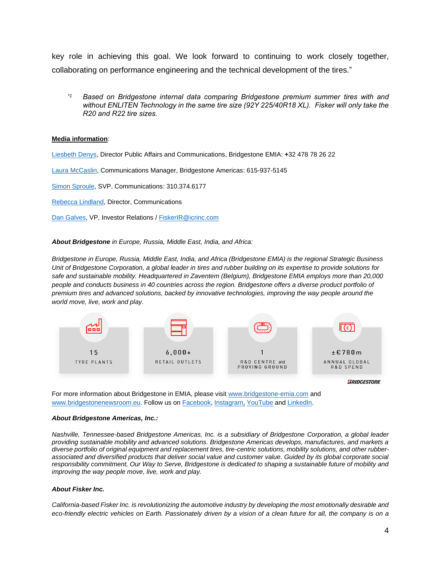key role in achieving this goal. We look forward to continuing to work closely together, collaborating on performance engineering and the technical development of the tires."

*\*1 Based on Bridgestone internal data comparing Bridgestone premium summer tires with and without ENLITEN Technology in the same tire size (92Y 225/40R18 XL). Fisker will only take the R20 and R22 tire sizes.*

## **Media information**:

[Liesbeth Denys,](mailto:liesbeth.denys@bridgestone.eu) Director Public Affairs and Communications, Bridgestone EMIA: **+**32 478 78 26 22

[Laura McCaslin,](mailto:mccaslinlaura@bfusa.com?subject=Fisker%20Announcement) Communications Manager, Bridgestone Americas: 615-937-5145

[Simon Sproule,](mailto:fisker@driven360.com) SVP, Communications: 310.374.6177

[Rebecca Lindland,](mailto:rlindland@fiskerinc.com) Director, Communications

[Dan Galves,](mailto:dgalves@fiskerinc.com) VP, Investor Relations [/ FiskerIR@icrinc.com](mailto:FiskerIR@icrinc.com)

### *About Bridgestone in Europe, Russia, Middle East, India, and Africa:*

*Bridgestone in Europe, Russia, Middle East, India, and Africa (Bridgestone EMIA) is the regional Strategic Business Unit of Bridgestone Corporation, a global leader in tires and rubber building on its expertise to provide solutions for safe and sustainable mobility. Headquartered in Zaventem (Belgium), Bridgestone EMIA employs more than 20,000 people and conducts business in 40 countries across the region. Bridgestone offers a diverse product portfolio of premium tires and advanced solutions, backed by innovative technologies, improving the way people around the world move, live, work and play.*



*BRIDGESTONE* 

For more information about Bridgestone in EMIA, please visit [www.bridgestone-emia.com](http://www.bridgestone-emia.com/) and [www.bridgestonenewsroom.eu.](http://www.bridgestonenewsroom.eu/) Follow us on [Facebook,](https://www.facebook.com/Bridgestone.EU) [Instagram,](https://www.instagram.com/bridgestoneeurope) [YouTube](https://www.youtube.com/user/bridgestone) and [LinkedIn.](https://www.linkedin.com/company/bridgestoneemea/)

#### *About Bridgestone Americas, Inc.:*

*Nashville, Tennessee-based Bridgestone Americas, Inc. is a subsidiary of Bridgestone Corporation, a global leader providing sustainable mobility and advanced solutions. Bridgestone Americas develops, manufactures, and markets a diverse portfolio of original equipment and replacement tires, tire-centric solutions, mobility solutions, and other rubberassociated and diversified products that deliver social value and customer value. Guided by its global corporate social responsibility commitment, Our Way to Serve, Bridgestone is dedicated to shaping a sustainable future of mobility and improving the way people move, live, work and play.*

## *About Fisker Inc.*

*California-based Fisker Inc. is revolutionizing the automotive industry by developing the most emotionally desirable and*  eco-friendly electric vehicles on Earth. Passionately driven by a vision of a clean future for all, the company is on a